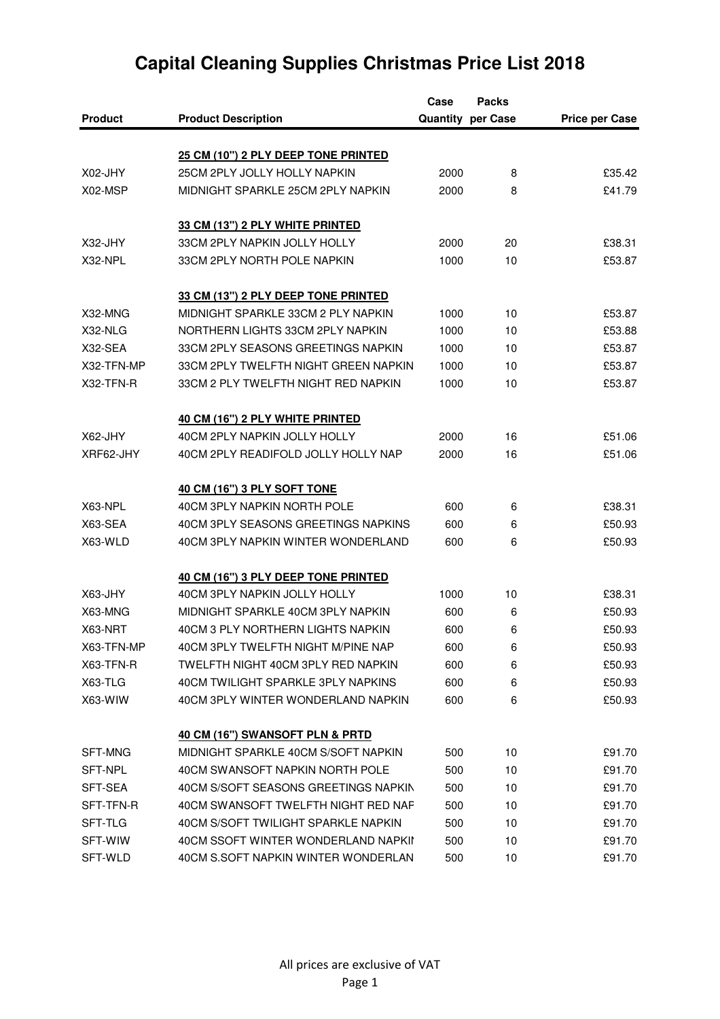| <b>Quantity per Case</b><br><b>Product</b><br><b>Product Description</b><br>25 CM (10") 2 PLY DEEP TONE PRINTED<br>25CM 2PLY JOLLY HOLLY NAPKIN<br>X02-JHY<br>£35.42<br>2000<br>8<br>£41.79<br>X02-MSP<br>MIDNIGHT SPARKLE 25CM 2PLY NAPKIN<br>2000<br>8<br>33 CM (13") 2 PLY WHITE PRINTED<br>33CM 2PLY NAPKIN JOLLY HOLLY<br>X32-JHY<br>20<br>£38.31<br>2000<br>X32-NPL<br>33CM 2PLY NORTH POLE NAPKIN<br>10<br>1000<br>33 CM (13") 2 PLY DEEP TONE PRINTED<br>MIDNIGHT SPARKLE 33CM 2 PLY NAPKIN<br>X32-MNG<br>10<br>£53.87<br>1000<br>X32-NLG<br>NORTHERN LIGHTS 33CM 2PLY NAPKIN<br>1000<br>10<br>£53.88<br>X32-SEA<br>33CM 2PLY SEASONS GREETINGS NAPKIN<br>1000<br>10<br>£53.87<br>£53.87<br>X32-TFN-MP<br>33CM 2PLY TWELFTH NIGHT GREEN NAPKIN<br>1000<br>10<br>X32-TFN-R<br>33CM 2 PLY TWELFTH NIGHT RED NAPKIN<br>1000<br>10<br>£53.87<br>40 CM (16") 2 PLY WHITE PRINTED<br>40CM 2PLY NAPKIN JOLLY HOLLY<br>X62-JHY<br>£51.06<br>2000<br>16<br>XRF62-JHY<br>40CM 2PLY READIFOLD JOLLY HOLLY NAP<br>2000<br>16<br>£51.06<br>40 CM (16") 3 PLY SOFT TONE<br>X63-NPL<br>40CM 3PLY NAPKIN NORTH POLE<br>£38.31<br>600<br>6<br>X63-SEA<br>40CM 3PLY SEASONS GREETINGS NAPKINS<br>600<br>6<br>X63-WLD<br>40CM 3PLY NAPKIN WINTER WONDERLAND<br>£50.93<br>600<br>6<br>40 CM (16") 3 PLY DEEP TONE PRINTED<br>40CM 3PLY NAPKIN JOLLY HOLLY<br>£38.31<br>X63-JHY<br>1000<br>10<br>X63-MNG<br>MIDNIGHT SPARKLE 40CM 3PLY NAPKIN<br>600<br>£50.93<br>6<br>X63-NRT<br>40CM 3 PLY NORTHERN LIGHTS NAPKIN<br>600<br>£50.93<br>6<br>40CM 3PLY TWELFTH NIGHT M/PINE NAP<br>X63-TFN-MP<br>600<br>6 |           |                                    | Case | <b>Packs</b> |                       |
|----------------------------------------------------------------------------------------------------------------------------------------------------------------------------------------------------------------------------------------------------------------------------------------------------------------------------------------------------------------------------------------------------------------------------------------------------------------------------------------------------------------------------------------------------------------------------------------------------------------------------------------------------------------------------------------------------------------------------------------------------------------------------------------------------------------------------------------------------------------------------------------------------------------------------------------------------------------------------------------------------------------------------------------------------------------------------------------------------------------------------------------------------------------------------------------------------------------------------------------------------------------------------------------------------------------------------------------------------------------------------------------------------------------------------------------------------------------------------------------------------------------------------------------------------------------------------------------------|-----------|------------------------------------|------|--------------|-----------------------|
|                                                                                                                                                                                                                                                                                                                                                                                                                                                                                                                                                                                                                                                                                                                                                                                                                                                                                                                                                                                                                                                                                                                                                                                                                                                                                                                                                                                                                                                                                                                                                                                              |           |                                    |      |              | <b>Price per Case</b> |
|                                                                                                                                                                                                                                                                                                                                                                                                                                                                                                                                                                                                                                                                                                                                                                                                                                                                                                                                                                                                                                                                                                                                                                                                                                                                                                                                                                                                                                                                                                                                                                                              |           |                                    |      |              |                       |
|                                                                                                                                                                                                                                                                                                                                                                                                                                                                                                                                                                                                                                                                                                                                                                                                                                                                                                                                                                                                                                                                                                                                                                                                                                                                                                                                                                                                                                                                                                                                                                                              |           |                                    |      |              |                       |
|                                                                                                                                                                                                                                                                                                                                                                                                                                                                                                                                                                                                                                                                                                                                                                                                                                                                                                                                                                                                                                                                                                                                                                                                                                                                                                                                                                                                                                                                                                                                                                                              |           |                                    |      |              |                       |
|                                                                                                                                                                                                                                                                                                                                                                                                                                                                                                                                                                                                                                                                                                                                                                                                                                                                                                                                                                                                                                                                                                                                                                                                                                                                                                                                                                                                                                                                                                                                                                                              |           |                                    |      |              |                       |
|                                                                                                                                                                                                                                                                                                                                                                                                                                                                                                                                                                                                                                                                                                                                                                                                                                                                                                                                                                                                                                                                                                                                                                                                                                                                                                                                                                                                                                                                                                                                                                                              |           |                                    |      |              |                       |
|                                                                                                                                                                                                                                                                                                                                                                                                                                                                                                                                                                                                                                                                                                                                                                                                                                                                                                                                                                                                                                                                                                                                                                                                                                                                                                                                                                                                                                                                                                                                                                                              |           |                                    |      |              |                       |
|                                                                                                                                                                                                                                                                                                                                                                                                                                                                                                                                                                                                                                                                                                                                                                                                                                                                                                                                                                                                                                                                                                                                                                                                                                                                                                                                                                                                                                                                                                                                                                                              |           |                                    |      |              | £53.87                |
|                                                                                                                                                                                                                                                                                                                                                                                                                                                                                                                                                                                                                                                                                                                                                                                                                                                                                                                                                                                                                                                                                                                                                                                                                                                                                                                                                                                                                                                                                                                                                                                              |           |                                    |      |              |                       |
|                                                                                                                                                                                                                                                                                                                                                                                                                                                                                                                                                                                                                                                                                                                                                                                                                                                                                                                                                                                                                                                                                                                                                                                                                                                                                                                                                                                                                                                                                                                                                                                              |           |                                    |      |              |                       |
|                                                                                                                                                                                                                                                                                                                                                                                                                                                                                                                                                                                                                                                                                                                                                                                                                                                                                                                                                                                                                                                                                                                                                                                                                                                                                                                                                                                                                                                                                                                                                                                              |           |                                    |      |              |                       |
|                                                                                                                                                                                                                                                                                                                                                                                                                                                                                                                                                                                                                                                                                                                                                                                                                                                                                                                                                                                                                                                                                                                                                                                                                                                                                                                                                                                                                                                                                                                                                                                              |           |                                    |      |              |                       |
|                                                                                                                                                                                                                                                                                                                                                                                                                                                                                                                                                                                                                                                                                                                                                                                                                                                                                                                                                                                                                                                                                                                                                                                                                                                                                                                                                                                                                                                                                                                                                                                              |           |                                    |      |              |                       |
|                                                                                                                                                                                                                                                                                                                                                                                                                                                                                                                                                                                                                                                                                                                                                                                                                                                                                                                                                                                                                                                                                                                                                                                                                                                                                                                                                                                                                                                                                                                                                                                              |           |                                    |      |              |                       |
|                                                                                                                                                                                                                                                                                                                                                                                                                                                                                                                                                                                                                                                                                                                                                                                                                                                                                                                                                                                                                                                                                                                                                                                                                                                                                                                                                                                                                                                                                                                                                                                              |           |                                    |      |              |                       |
|                                                                                                                                                                                                                                                                                                                                                                                                                                                                                                                                                                                                                                                                                                                                                                                                                                                                                                                                                                                                                                                                                                                                                                                                                                                                                                                                                                                                                                                                                                                                                                                              |           |                                    |      |              |                       |
|                                                                                                                                                                                                                                                                                                                                                                                                                                                                                                                                                                                                                                                                                                                                                                                                                                                                                                                                                                                                                                                                                                                                                                                                                                                                                                                                                                                                                                                                                                                                                                                              |           |                                    |      |              |                       |
|                                                                                                                                                                                                                                                                                                                                                                                                                                                                                                                                                                                                                                                                                                                                                                                                                                                                                                                                                                                                                                                                                                                                                                                                                                                                                                                                                                                                                                                                                                                                                                                              |           |                                    |      |              |                       |
|                                                                                                                                                                                                                                                                                                                                                                                                                                                                                                                                                                                                                                                                                                                                                                                                                                                                                                                                                                                                                                                                                                                                                                                                                                                                                                                                                                                                                                                                                                                                                                                              |           |                                    |      |              |                       |
|                                                                                                                                                                                                                                                                                                                                                                                                                                                                                                                                                                                                                                                                                                                                                                                                                                                                                                                                                                                                                                                                                                                                                                                                                                                                                                                                                                                                                                                                                                                                                                                              |           |                                    |      |              |                       |
|                                                                                                                                                                                                                                                                                                                                                                                                                                                                                                                                                                                                                                                                                                                                                                                                                                                                                                                                                                                                                                                                                                                                                                                                                                                                                                                                                                                                                                                                                                                                                                                              |           |                                    |      |              | £50.93                |
|                                                                                                                                                                                                                                                                                                                                                                                                                                                                                                                                                                                                                                                                                                                                                                                                                                                                                                                                                                                                                                                                                                                                                                                                                                                                                                                                                                                                                                                                                                                                                                                              |           |                                    |      |              |                       |
|                                                                                                                                                                                                                                                                                                                                                                                                                                                                                                                                                                                                                                                                                                                                                                                                                                                                                                                                                                                                                                                                                                                                                                                                                                                                                                                                                                                                                                                                                                                                                                                              |           |                                    |      |              |                       |
|                                                                                                                                                                                                                                                                                                                                                                                                                                                                                                                                                                                                                                                                                                                                                                                                                                                                                                                                                                                                                                                                                                                                                                                                                                                                                                                                                                                                                                                                                                                                                                                              |           |                                    |      |              |                       |
|                                                                                                                                                                                                                                                                                                                                                                                                                                                                                                                                                                                                                                                                                                                                                                                                                                                                                                                                                                                                                                                                                                                                                                                                                                                                                                                                                                                                                                                                                                                                                                                              |           |                                    |      |              |                       |
|                                                                                                                                                                                                                                                                                                                                                                                                                                                                                                                                                                                                                                                                                                                                                                                                                                                                                                                                                                                                                                                                                                                                                                                                                                                                                                                                                                                                                                                                                                                                                                                              |           |                                    |      |              |                       |
|                                                                                                                                                                                                                                                                                                                                                                                                                                                                                                                                                                                                                                                                                                                                                                                                                                                                                                                                                                                                                                                                                                                                                                                                                                                                                                                                                                                                                                                                                                                                                                                              |           |                                    |      |              | £50.93                |
|                                                                                                                                                                                                                                                                                                                                                                                                                                                                                                                                                                                                                                                                                                                                                                                                                                                                                                                                                                                                                                                                                                                                                                                                                                                                                                                                                                                                                                                                                                                                                                                              | X63-TFN-R | TWELFTH NIGHT 40CM 3PLY RED NAPKIN | 600  | 6            | £50.93                |
| X63-TLG<br>40CM TWILIGHT SPARKLE 3PLY NAPKINS<br>600<br>6                                                                                                                                                                                                                                                                                                                                                                                                                                                                                                                                                                                                                                                                                                                                                                                                                                                                                                                                                                                                                                                                                                                                                                                                                                                                                                                                                                                                                                                                                                                                    |           |                                    |      |              | £50.93                |
| X63-WIW<br>40CM 3PLY WINTER WONDERLAND NAPKIN<br>600<br>6                                                                                                                                                                                                                                                                                                                                                                                                                                                                                                                                                                                                                                                                                                                                                                                                                                                                                                                                                                                                                                                                                                                                                                                                                                                                                                                                                                                                                                                                                                                                    |           |                                    |      |              | £50.93                |
| 40 CM (16") SWANSOFT PLN & PRTD                                                                                                                                                                                                                                                                                                                                                                                                                                                                                                                                                                                                                                                                                                                                                                                                                                                                                                                                                                                                                                                                                                                                                                                                                                                                                                                                                                                                                                                                                                                                                              |           |                                    |      |              |                       |
| MIDNIGHT SPARKLE 40CM S/SOFT NAPKIN<br>SFT-MNG<br>500<br>10                                                                                                                                                                                                                                                                                                                                                                                                                                                                                                                                                                                                                                                                                                                                                                                                                                                                                                                                                                                                                                                                                                                                                                                                                                                                                                                                                                                                                                                                                                                                  |           |                                    |      |              | £91.70                |
| 40CM SWANSOFT NAPKIN NORTH POLE<br>10<br>SFT-NPL<br>500                                                                                                                                                                                                                                                                                                                                                                                                                                                                                                                                                                                                                                                                                                                                                                                                                                                                                                                                                                                                                                                                                                                                                                                                                                                                                                                                                                                                                                                                                                                                      |           |                                    |      |              | £91.70                |
| SFT-SEA<br>40CM S/SOFT SEASONS GREETINGS NAPKIN<br>£91.70<br>500<br>10                                                                                                                                                                                                                                                                                                                                                                                                                                                                                                                                                                                                                                                                                                                                                                                                                                                                                                                                                                                                                                                                                                                                                                                                                                                                                                                                                                                                                                                                                                                       |           |                                    |      |              |                       |
| 40CM SWANSOFT TWELFTH NIGHT RED NAP<br>SFT-TFN-R<br>500<br>10                                                                                                                                                                                                                                                                                                                                                                                                                                                                                                                                                                                                                                                                                                                                                                                                                                                                                                                                                                                                                                                                                                                                                                                                                                                                                                                                                                                                                                                                                                                                |           |                                    |      |              | £91.70                |
| 40CM S/SOFT TWILIGHT SPARKLE NAPKIN<br>SFT-TLG<br>500<br>10                                                                                                                                                                                                                                                                                                                                                                                                                                                                                                                                                                                                                                                                                                                                                                                                                                                                                                                                                                                                                                                                                                                                                                                                                                                                                                                                                                                                                                                                                                                                  |           |                                    |      |              | £91.70                |
| 40CM SSOFT WINTER WONDERLAND NAPKII<br>SFT-WIW<br>500<br>10                                                                                                                                                                                                                                                                                                                                                                                                                                                                                                                                                                                                                                                                                                                                                                                                                                                                                                                                                                                                                                                                                                                                                                                                                                                                                                                                                                                                                                                                                                                                  |           |                                    |      |              | £91.70                |
| SFT-WLD<br>40CM S.SOFT NAPKIN WINTER WONDERLAN<br>500<br>10                                                                                                                                                                                                                                                                                                                                                                                                                                                                                                                                                                                                                                                                                                                                                                                                                                                                                                                                                                                                                                                                                                                                                                                                                                                                                                                                                                                                                                                                                                                                  |           |                                    |      |              | £91.70                |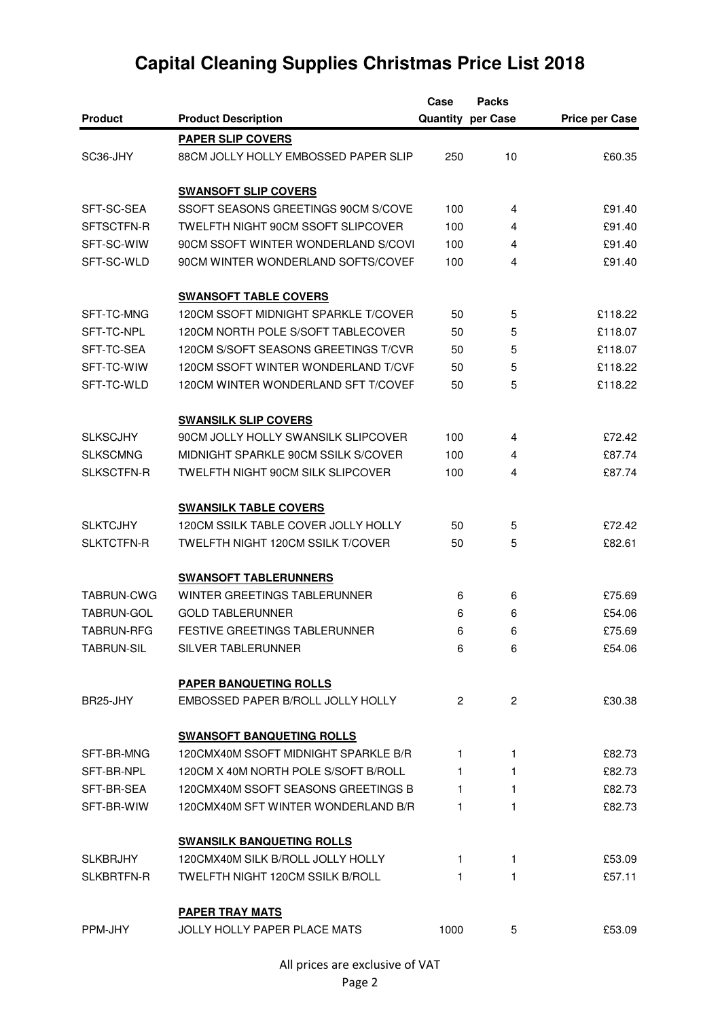|                   |                                       | Case         | <b>Packs</b>             |                       |
|-------------------|---------------------------------------|--------------|--------------------------|-----------------------|
| <b>Product</b>    | <b>Product Description</b>            |              | <b>Quantity per Case</b> | <b>Price per Case</b> |
|                   | <b>PAPER SLIP COVERS</b>              |              |                          |                       |
| SC36-JHY          | 88CM JOLLY HOLLY EMBOSSED PAPER SLIP  | 250          | 10                       | £60.35                |
|                   |                                       |              |                          |                       |
|                   | <b>SWANSOFT SLIP COVERS</b>           |              |                          |                       |
| SFT-SC-SEA        | SSOFT SEASONS GREETINGS 90CM S/COVE   | 100          | 4                        | £91.40                |
| SFTSCTFN-R        | TWELFTH NIGHT 90CM SSOFT SLIPCOVER    | 100          | 4                        | £91.40                |
| SFT-SC-WIW        | 90CM SSOFT WINTER WONDERLAND S/COVI   | 100          | 4                        | £91.40                |
| SFT-SC-WLD        | 90CM WINTER WONDERLAND SOFTS/COVEF    | 100          | 4                        | £91.40                |
|                   | <b>SWANSOFT TABLE COVERS</b>          |              |                          |                       |
| SFT-TC-MNG        | 120CM SSOFT MIDNIGHT SPARKLE T/COVER  | 50           | 5                        | £118.22               |
| SFT-TC-NPL        | 120CM NORTH POLE S/SOFT TABLECOVER    | 50           | 5                        | £118.07               |
| SFT-TC-SEA        | 120CM S/SOFT SEASONS GREETINGS T/CVR  | 50           | 5                        | £118.07               |
| SFT-TC-WIW        | 120CM SSOFT WINTER WONDERLAND T/CVF   | 50           | 5                        | £118.22               |
| SFT-TC-WLD        | 120CM WINTER WONDERLAND SFT T/COVEF   | 50           | 5                        | £118.22               |
|                   | <b>SWANSILK SLIP COVERS</b>           |              |                          |                       |
| <b>SLKSCJHY</b>   | 90CM JOLLY HOLLY SWANSILK SLIPCOVER   | 100          | 4                        | £72.42                |
| <b>SLKSCMNG</b>   | MIDNIGHT SPARKLE 90CM SSILK S/COVER   | 100          | 4                        | £87.74                |
| <b>SLKSCTFN-R</b> | TWELFTH NIGHT 90CM SILK SLIPCOVER     | 100          | 4                        | £87.74                |
|                   | <b>SWANSILK TABLE COVERS</b>          |              |                          |                       |
| <b>SLKTCJHY</b>   | 120CM SSILK TABLE COVER JOLLY HOLLY   | 50           | 5                        | £72.42                |
| <b>SLKTCTFN-R</b> | TWELFTH NIGHT 120CM SSILK T/COVER     | 50           | 5                        | £82.61                |
|                   | <b>SWANSOFT TABLERUNNERS</b>          |              |                          |                       |
| <b>TABRUN-CWG</b> | WINTER GREETINGS TABLERUNNER          | 6            | 6                        | £75.69                |
| <b>TABRUN-GOL</b> | <b>GOLD TABLERUNNER</b>               | 6            | 6                        | £54.06                |
| <b>TABRUN-RFG</b> | <b>FESTIVE GREETINGS TABLERUNNER</b>  | 6            | 6                        | £75.69                |
| <b>TABRUN-SIL</b> | SILVER TABLERUNNER                    | 6            | 6                        | £54.06                |
|                   | PAPER BANQUETING ROLLS                |              |                          |                       |
| BR25-JHY          | EMBOSSED PAPER B/ROLL JOLLY HOLLY     | $\mathbf{2}$ | $\overline{2}$           | £30.38                |
|                   | <b>SWANSOFT BANQUETING ROLLS</b>      |              |                          |                       |
| SFT-BR-MNG        | 120 CMX40M SSOFT MIDNIGHT SPARKLE B/R | 1.           | 1                        | £82.73                |
| SFT-BR-NPL        | 120CM X 40M NORTH POLE S/SOFT B/ROLL  | 1.           | 1                        | £82.73                |
| SFT-BR-SEA        | 120 CMX40M SSOFT SEASONS GREETINGS B  | 1.           | 1                        | £82.73                |
| SFT-BR-WIW        | 120 CMX40M SFT WINTER WONDERLAND B/R  | 1            | 1                        | £82.73                |
|                   | <b>SWANSILK BANQUETING ROLLS</b>      |              |                          |                       |
| <b>SLKBRJHY</b>   | 120 CMX40M SILK B/ROLL JOLLY HOLLY    | 1.           | 1                        | £53.09                |
| SLKBRTFN-R        | TWELFTH NIGHT 120CM SSILK B/ROLL      | 1.           | 1                        | £57.11                |
|                   | <b>PAPER TRAY MATS</b>                |              |                          |                       |
| PPM-JHY           | <b>JOLLY HOLLY PAPER PLACE MATS</b>   | 1000         | 5                        | £53.09                |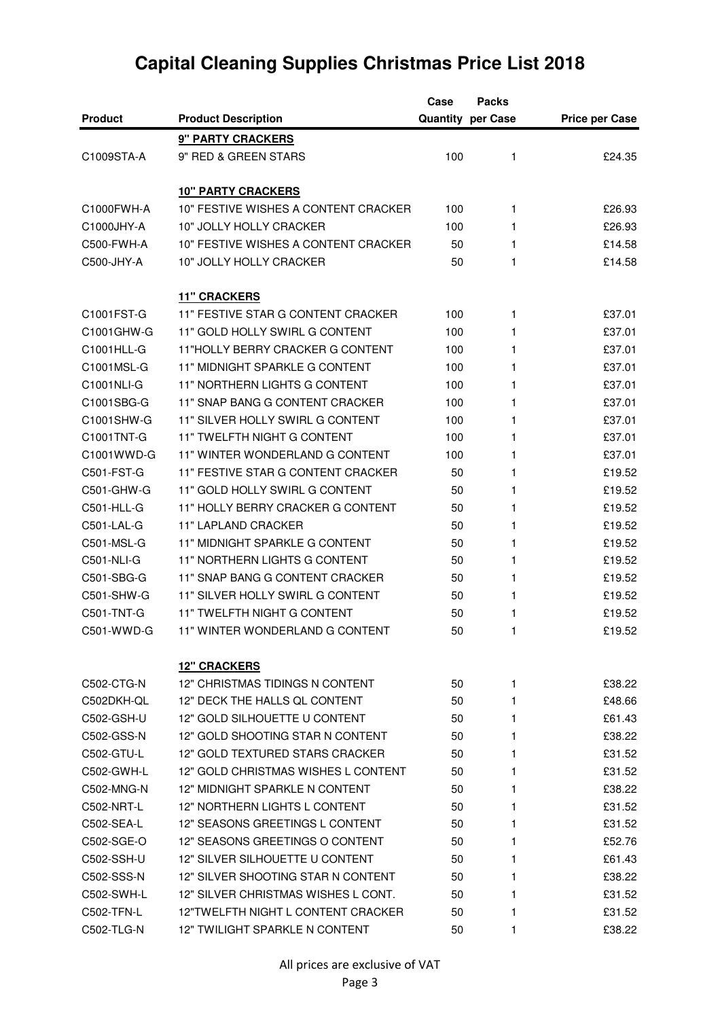|                |                                      | Case | <b>Packs</b>             |                       |
|----------------|--------------------------------------|------|--------------------------|-----------------------|
| <b>Product</b> | <b>Product Description</b>           |      | <b>Quantity per Case</b> | <b>Price per Case</b> |
|                | 9" PARTY CRACKERS                    |      |                          |                       |
| C1009STA-A     | 9" RED & GREEN STARS                 | 100  | 1                        | £24.35                |
|                |                                      |      |                          |                       |
|                | <b>10" PARTY CRACKERS</b>            |      |                          |                       |
| C1000FWH-A     | 10" FESTIVE WISHES A CONTENT CRACKER | 100  | 1                        | £26.93                |
| C1000JHY-A     | 10" JOLLY HOLLY CRACKER              | 100  | 1                        | £26.93                |
| C500-FWH-A     | 10" FESTIVE WISHES A CONTENT CRACKER | 50   | 1                        | £14.58                |
| C500-JHY-A     | 10" JOLLY HOLLY CRACKER              | 50   | 1                        | £14.58                |
|                | <b>11" CRACKERS</b>                  |      |                          |                       |
| C1001FST-G     | 11" FESTIVE STAR G CONTENT CRACKER   | 100  | 1                        | £37.01                |
| C1001GHW-G     | 11" GOLD HOLLY SWIRL G CONTENT       | 100  | 1                        | £37.01                |
| C1001HLL-G     | 11"HOLLY BERRY CRACKER G CONTENT     | 100  | 1                        | £37.01                |
| C1001MSL-G     | 11" MIDNIGHT SPARKLE G CONTENT       | 100  | 1                        | £37.01                |
| C1001NLI-G     | 11" NORTHERN LIGHTS G CONTENT        | 100  | 1                        | £37.01                |
| C1001SBG-G     | 11" SNAP BANG G CONTENT CRACKER      | 100  | 1                        | £37.01                |
| C1001SHW-G     | 11" SILVER HOLLY SWIRL G CONTENT     | 100  | 1                        | £37.01                |
| C1001TNT-G     | 11" TWELFTH NIGHT G CONTENT          | 100  | 1                        | £37.01                |
| C1001WWD-G     | 11" WINTER WONDERLAND G CONTENT      | 100  | 1                        | £37.01                |
| C501-FST-G     | 11" FESTIVE STAR G CONTENT CRACKER   | 50   | 1                        | £19.52                |
| C501-GHW-G     | 11" GOLD HOLLY SWIRL G CONTENT       | 50   | 1                        | £19.52                |
| C501-HLL-G     | 11" HOLLY BERRY CRACKER G CONTENT    | 50   | 1                        | £19.52                |
| C501-LAL-G     | <b>11" LAPLAND CRACKER</b>           | 50   | 1                        | £19.52                |
| C501-MSL-G     | 11" MIDNIGHT SPARKLE G CONTENT       | 50   | 1                        | £19.52                |
| C501-NLI-G     | 11" NORTHERN LIGHTS G CONTENT        | 50   | 1                        | £19.52                |
| C501-SBG-G     | 11" SNAP BANG G CONTENT CRACKER      | 50   | 1                        | £19.52                |
| C501-SHW-G     | 11" SILVER HOLLY SWIRL G CONTENT     | 50   | 1                        | £19.52                |
| C501-TNT-G     | 11" TWELFTH NIGHT G CONTENT          | 50   | 1                        | £19.52                |
| C501-WWD-G     | 11" WINTER WONDERLAND G CONTENT      | 50   | 1                        | £19.52                |
|                |                                      |      |                          |                       |
|                | <b>12" CRACKERS</b>                  |      |                          |                       |
| C502-CTG-N     | 12" CHRISTMAS TIDINGS N CONTENT      | 50   | 1                        | £38.22                |
| C502DKH-QL     | 12" DECK THE HALLS OL CONTENT        | 50   | 1                        | £48.66                |
| C502-GSH-U     | 12" GOLD SILHOUETTE U CONTENT        | 50   | 1                        | £61.43                |
| C502-GSS-N     | 12" GOLD SHOOTING STAR N CONTENT     | 50   | 1                        | £38.22                |
| C502-GTU-L     | 12" GOLD TEXTURED STARS CRACKER      | 50   | 1                        | £31.52                |
| C502-GWH-L     | 12" GOLD CHRISTMAS WISHES L CONTENT  | 50   | 1                        | £31.52                |
| C502-MNG-N     | 12" MIDNIGHT SPARKLE N CONTENT       | 50   | 1                        | £38.22                |
| C502-NRT-L     | 12" NORTHERN LIGHTS L CONTENT        | 50   | 1                        | £31.52                |
| C502-SEA-L     | 12" SEASONS GREETINGS L CONTENT      | 50   | 1                        | £31.52                |
| C502-SGE-O     | 12" SEASONS GREETINGS O CONTENT      | 50   | 1                        | £52.76                |
| C502-SSH-U     | 12" SILVER SILHOUETTE U CONTENT      | 50   | 1                        | £61.43                |
| C502-SSS-N     | 12" SILVER SHOOTING STAR N CONTENT   | 50   | 1                        | £38.22                |
| C502-SWH-L     | 12" SILVER CHRISTMAS WISHES L CONT.  | 50   | 1                        | £31.52                |
| C502-TFN-L     | 12"TWELFTH NIGHT L CONTENT CRACKER   | 50   | 1                        | £31.52                |
| C502-TLG-N     | 12" TWILIGHT SPARKLE N CONTENT       | 50   | 1                        | £38.22                |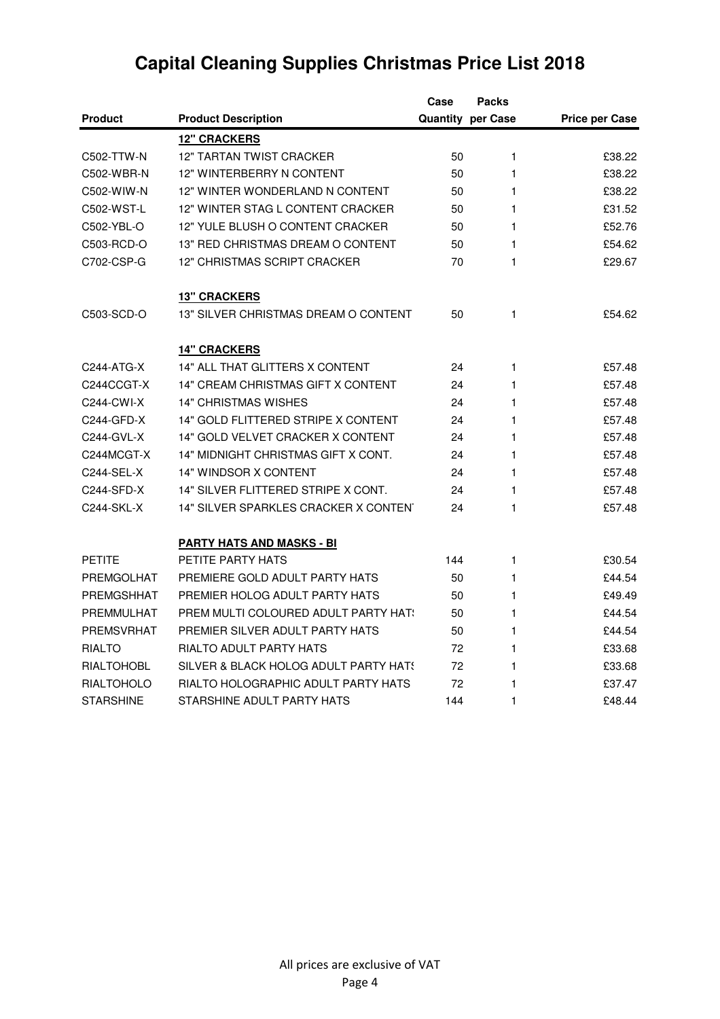|                   |                                       | Case | <b>Packs</b>             |                       |
|-------------------|---------------------------------------|------|--------------------------|-----------------------|
| <b>Product</b>    | <b>Product Description</b>            |      | <b>Quantity per Case</b> | <b>Price per Case</b> |
|                   | <b>12" CRACKERS</b>                   |      |                          |                       |
| C502-TTW-N        | <b>12" TARTAN TWIST CRACKER</b>       | 50   | 1                        | £38.22                |
| C502-WBR-N        | 12" WINTERBERRY N CONTENT             | 50   | 1                        | £38.22                |
| C502-WIW-N        | 12" WINTER WONDERLAND N CONTENT       | 50   | 1                        | £38.22                |
| C502-WST-L        | 12" WINTER STAG L CONTENT CRACKER     | 50   | 1                        | £31.52                |
| C502-YBL-O        | 12" YULE BLUSH O CONTENT CRACKER      | 50   | 1                        | £52.76                |
| C503-RCD-O        | 13" RED CHRISTMAS DREAM O CONTENT     | 50   | 1                        | £54.62                |
| C702-CSP-G        | 12" CHRISTMAS SCRIPT CRACKER          | 70   | 1                        | £29.67                |
|                   | <b>13" CRACKERS</b>                   |      |                          |                       |
| C503-SCD-O        | 13" SILVER CHRISTMAS DREAM O CONTENT  | 50   | 1                        | £54.62                |
|                   | <b>14" CRACKERS</b>                   |      |                          |                       |
| C244-ATG-X        | 14" ALL THAT GLITTERS X CONTENT       | 24   | 1                        | £57.48                |
| C244CCGT-X        | 14" CREAM CHRISTMAS GIFT X CONTENT    | 24   | 1                        | £57.48                |
| C244-CWI-X        | <b>14" CHRISTMAS WISHES</b>           | 24   | 1                        | £57.48                |
| C244-GFD-X        | 14" GOLD FLITTERED STRIPE X CONTENT   | 24   | 1                        | £57.48                |
| C244-GVL-X        | 14" GOLD VELVET CRACKER X CONTENT     | 24   | 1                        | £57.48                |
| C244MCGT-X        | 14" MIDNIGHT CHRISTMAS GIFT X CONT.   | 24   | 1                        | £57.48                |
| C244-SEL-X        | 14" WINDSOR X CONTENT                 | 24   | 1                        | £57.48                |
| C244-SFD-X        | 14" SILVER FLITTERED STRIPE X CONT.   | 24   | 1                        | £57.48                |
| C244-SKL-X        | 14" SILVER SPARKLES CRACKER X CONTEN' | 24   | 1                        | £57.48                |
|                   | <b>PARTY HATS AND MASKS - BI</b>      |      |                          |                       |
| <b>PETITE</b>     | PETITE PARTY HATS                     | 144  | 1                        | £30.54                |
| <b>PREMGOLHAT</b> | PREMIERE GOLD ADULT PARTY HATS        | 50   | 1                        | £44.54                |
| PREMGSHHAT        | PREMIER HOLOG ADULT PARTY HATS        | 50   | 1                        | £49.49                |
| PREMMULHAT        | PREM MULTI COLOURED ADULT PARTY HAT:  | 50   | 1                        | £44.54                |
| <b>PREMSVRHAT</b> | PREMIER SILVER ADULT PARTY HATS       | 50   | 1                        | £44.54                |
| <b>RIALTO</b>     | RIALTO ADULT PARTY HATS               | 72   | 1                        | £33.68                |
| <b>RIALTOHOBL</b> | SILVER & BLACK HOLOG ADULT PARTY HATS | 72   | 1                        | £33.68                |
| <b>RIALTOHOLO</b> | RIALTO HOLOGRAPHIC ADULT PARTY HATS   | 72   | 1                        | £37.47                |
| <b>STARSHINE</b>  | STARSHINE ADULT PARTY HATS            | 144  | 1                        | £48.44                |